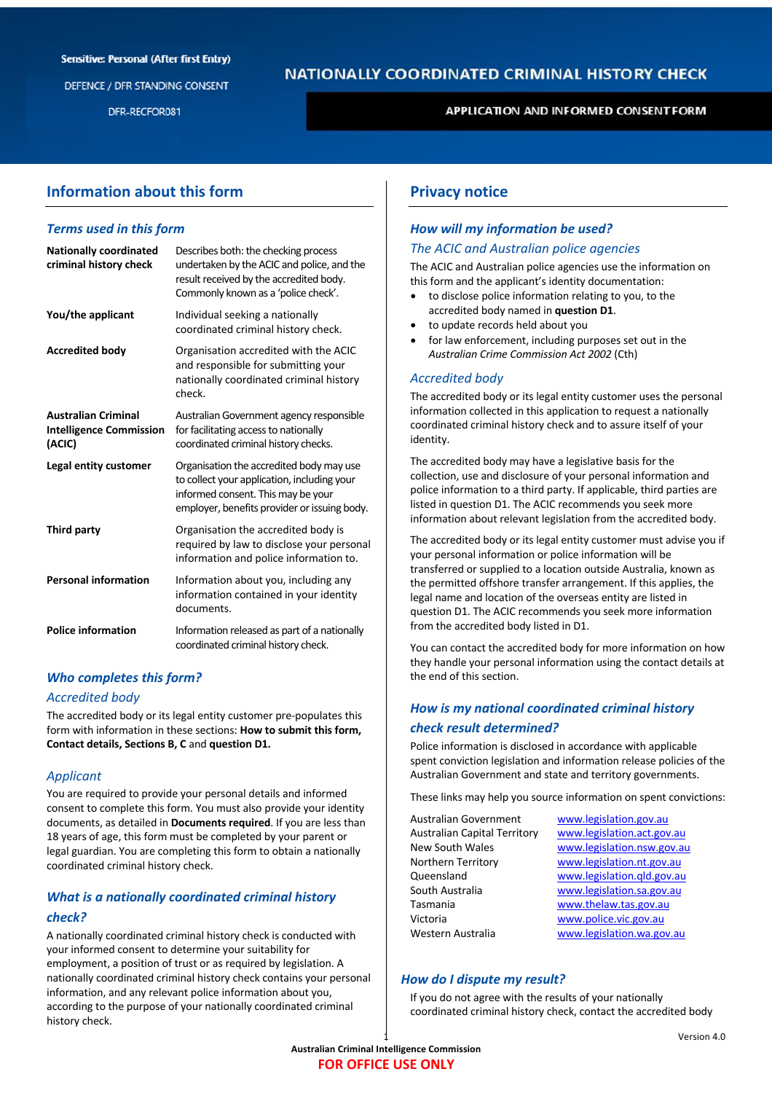#### **Sensitive: Personal (After first Entry)**

DEFENCE / DFR STANDING CONSENT

DFR-RECFOR081

# **NATIONALLY COORDINATED CRIMINAL HISTORY CHECK**

**APPLICATION AND INFORMED CONSENTFORM** 

## **Information about this form**

#### *Terms used in this form*

| <b>Nationally coordinated</b><br>criminal history check                | Describes both: the checking process<br>undertaken by the ACIC and police, and the<br>result received by the accredited body.<br>Commonly known as a 'police check'.          |
|------------------------------------------------------------------------|-------------------------------------------------------------------------------------------------------------------------------------------------------------------------------|
| You/the applicant                                                      | Individual seeking a nationally<br>coordinated criminal history check.                                                                                                        |
| <b>Accredited body</b>                                                 | Organisation accredited with the ACIC<br>and responsible for submitting your<br>nationally coordinated criminal history<br>check.                                             |
| <b>Australian Criminal</b><br><b>Intelligence Commission</b><br>(ACIC) | Australian Government agency responsible<br>for facilitating access to nationally<br>coordinated criminal history checks.                                                     |
| Legal entity customer                                                  | Organisation the accredited body may use<br>to collect your application, including your<br>informed consent. This may be your<br>employer, benefits provider or issuing body. |
| Third party                                                            | Organisation the accredited body is<br>required by law to disclose your personal<br>information and police information to.                                                    |
| <b>Personal information</b>                                            | Information about you, including any<br>information contained in your identity<br>documents.                                                                                  |
| <b>Police information</b>                                              | Information released as part of a nationally<br>coordinated criminal history check.                                                                                           |

## *Who completes this form?*

#### *Accredited body*

The accredited body or its legal entity customer pre-populates this form with information in these sections: **How to submit this form, Contact details, Sections B, C** and **question D1.**

## *Applicant*

You are required to provide your personal details and informed consent to complete this form. You must also provide your identity documents, as detailed in **Documents required**. If you are less than 18 years of age, this form must be completed by your parent or legal guardian. You are completing this form to obtain a nationally coordinated criminal history check.

## *What is a nationally coordinated criminal history check?*

A nationally coordinated criminal history check is conducted with your informed consent to determine your suitability for employment, a position of trust or as required by legislation. A nationally coordinated criminal history check contains your personal information, and any relevant police information about you, according to the purpose of your nationally coordinated criminal history check.

## **Privacy notice**

## *How will my information be used?*

#### *The ACIC and Australian police agencies*

The ACIC and Australian police agencies use the information on this form and the applicant's identity documentation:

- to disclose police information relating to you, to the accredited body named in **question D1**.
- to update records held about you
- for law enforcement, including purposes set out in the *Australian Crime Commission Act 2002* (Cth)

#### *Accredited body*

The accredited body or its legal entity customer uses the personal information collected in this application to request a nationally coordinated criminal history check and to assure itself of your identity.

The accredited body may have a legislative basis for the collection, use and disclosure of your personal information and police information to a third party. If applicable, third parties are listed in question D1. The ACIC recommends you seek more information about relevant legislation from the accredited body.

The accredited body or its legal entity customer must advise you if your personal information or police information will be transferred or supplied to a location outside Australia, known as the permitted offshore transfer arrangement. If this applies, the legal name and location of the overseas entity are listed in question D1. The ACIC recommends you seek more information from the accredited body listed in D1.

You can contact the accredited body for more information on how they handle your personal information using the contact details at the end of this section.

## *How is my national coordinated criminal history check result determined?*

Police information is disclosed in accordance with applicable spent conviction legislation and information release policies of the Australian Government and state and territory governments.

These links may help you source information on spent convictions:

| Australian Government               | www.legislation.gov.au     |
|-------------------------------------|----------------------------|
| <b>Australian Capital Territory</b> | www.legislation.act.gov.au |
| New South Wales                     | www.legislation.nsw.gov.au |
| Northern Territory                  | www.legislation.nt.gov.au  |
| Queensland                          | www.legislation.qld.gov.au |
| South Australia                     | www.legislation.sa.gov.au  |
| Tasmania                            | www.thelaw.tas.gov.au      |
| Victoria                            | www.police.vic.gov.au      |
| Western Australia                   | www.legislation.wa.gov.au  |

#### *How do I dispute my result?*

If you do not agree with the results of your nationally coordinated criminal history check, contact the accredited body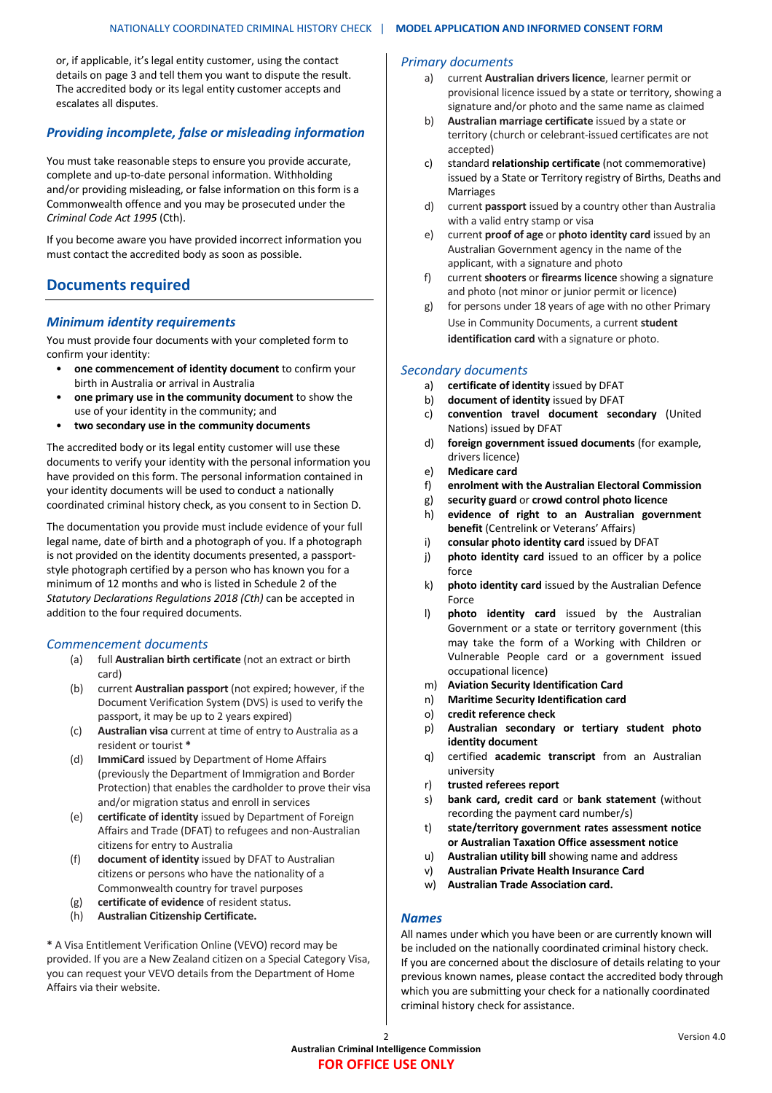or, if applicable, it's legal entity customer, using the contact details on page 3 and tell them you want to dispute the result. The accredited body or its legal entity customer accepts and escalates all disputes.

### *Providing incomplete, false or misleading information*

You must take reasonable steps to ensure you provide accurate, complete and up-to-date personal information. Withholding and/or providing misleading, or false information on this form is a Commonwealth offence and you may be prosecuted under the *Criminal Code Act 1995 (Cth).* 

If you become aware you have provided incorrect information you must contact the accredited body as soon as possible.

## **Documents required**

#### *Minimum identity requirements*

You must provide four documents with your completed form to confirm your identity:

- **one commencement of identity document** to confirm your birth in Australia or arrival in Australia
- **one primary use in the community document** to show the use of your identity in the community; and
- **two secondary use in the community documents**

The accredited body or its legal entity customer will use these documents to verify your identity with the personal information you have provided on this form. The personal information contained in your identity documents will be used to conduct a nationally coordinated criminal history check, as you consent to in Section D.

The documentation you provide must include evidence of your full legal name, date of birth and a photograph of you. If a photograph is not provided on the identity documents presented, a passportstyle photograph certified by a person who has known you for a minimum of 12 months and who is listed in Schedule 2 of the *Statutory Declarations Regulations 2018 (Cth)* can be accepted in addition to the four required documents.

#### *Commencement documents*

- (a) full **Australian birth certificate** (not an extract or birth card)
- (b) current **Australian passport** (not expired; however, if the Document Verification System (DVS) is used to verify the passport, it may be up to 2 years expired)
- (c) **Australian visa** current at time of entry to Australia as a resident or tourist **\***
- (d) **ImmiCard** issued by Department of Home Affairs (previously the Department of Immigration and Border Protection) that enables the cardholder to prove their visa and/or migration status and enroll in services
- (e) **certificate of identity** issued by Department of Foreign Affairs and Trade (DFAT) to refugees and non-Australian citizens for entry to Australia
- (f) **document of identity** issued by DFAT to Australian citizens or persons who have the nationality of a Commonwealth country for travel purposes
- (g) **certificate of evidence** of resident status.
- (h) **Australian Citizenship Certificate.**

**\*** A Visa Entitlement Verification Online (VEVO) record may be provided. If you are a New Zealand citizen on a Special Category Visa, you can request your VEVO details from the Department of Home Affairs via their website.

#### *Primary documents*

- a) current **Australian drivers licence**, learner permit or provisional licence issued by a state or territory, showing a signature and/or photo and the same name as claimed
- b) **Australian marriage certificate** issued by a state or territory (church or celebrant-issued certificates are not accepted)
- c) standard **relationship certificate** (not commemorative) issued by a State or Territory registry of Births, Deaths and Marriages
- d) current **passport** issued by a country other than Australia with a valid entry stamp or visa
- e) current **proof of age** or **photo identity card** issued by an Australian Government agency in the name of the applicant, with a signature and photo
- f) current **shooters** or **firearms licence** showing a signature and photo (not minor or junior permit or licence)
- g) for persons under 18 years of age with no other Primary Use in Community Documents, a current **student identification card** with a signature or photo.

#### *Secondary documents*

- a) **certificate of identity** issued by DFAT
- b) **document of identity** issued by DFAT
- c) **convention travel document secondary** (United Nations) issued by DFAT
- d) **foreign government issued documents** (for example, drivers licence)
- e) **Medicare card**
- f) **enrolment with the Australian Electoral Commission**
- g) **security guard** or **crowd control photo licence**
- h) **evidence of right to an Australian government benefit** (Centrelink or Veterans' Affairs)
- i) **consular photo identity card** issued by DFAT
- j) **photo identity card** issued to an officer by a police force
- k) **photo identity card** issued by the Australian Defence Force
- l) **photo identity card** issued by the Australian Government or a state or territory government (this may take the form of a Working with Children or Vulnerable People card or a government issued occupational licence)
- m) **Aviation Security Identification Card**
- n) **Maritime Security Identification card**
- o) **credit reference check**
- p) **Australian secondary or tertiary student photo identity document**
- q) certified **academic transcript** from an Australian university
- r) **trusted referees report**
- s) **bank card, credit card** or **bank statement** (without recording the payment card number/s)
- t) **state/territory government rates assessment notice or Australian Taxation Office assessment notice**
- u) **Australian utility bill** showing name and address
- v) **Australian Private Health Insurance Card**
- w) **Australian Trade Association card.**

#### *Names*

All names under which you have been or are currently known will be included on the nationally coordinated criminal history check. If you are concerned about the disclosure of details relating to your previous known names, please contact the accredited body through which you are submitting your check for a nationally coordinated criminal history check for assistance.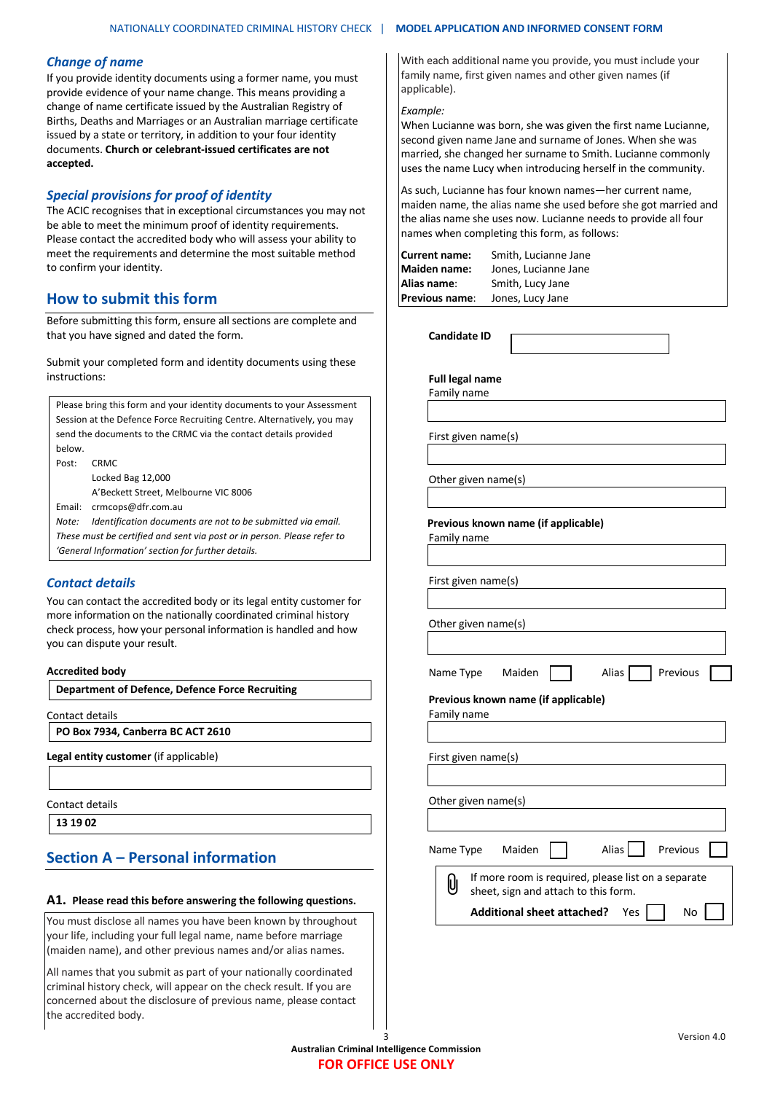#### *Change of name*

If you provide identity documents using a former name, you must provide evidence of your name change. This means providing a change of name certificate issued by the Australian Registry of Births, Deaths and Marriages or an Australian marriage certificate issued by a state or territory, in addition to your four identity documents. **Church or celebrant-issued certificates are not accepted.**

## *Special provisions for proof of identity*

The ACIC recognises that in exceptional circumstances you may not be able to meet the minimum proof of identity requirements. Please contact the accredited body who will assess your ability to meet the requirements and determine the most suitable method to confirm your identity.

## **How to submit this form**

Before submitting this form, ensure all sections are complete and that you have signed and dated the form.

Submit your completed form and identity documents using these instructions:

Please bring this form and your identity documents to your Assessment Session at the Defence Force Recruiting Centre. Alternatively, you may send the documents to the CRMC via the contact details provided below. Post: CRMC Locked Bag 12,000 A'Beckett Street, Melbourne VIC 8006 Email: crmcops@dfr.com.au *Note: Identification documents are not to be submitted via email. These must be certified and sent via post or in person. Please refer to 'General Information' section for further details.* 

## *Contact details*

You can contact the accredited body or its legal entity customer for more information on the nationally coordinated criminal history check process, how your personal information is handled and how you can dispute your result.

#### **Accredited body**

**Department of Defence, Defence Force Recruiting**

Contact details

**PO Box 7934, Canberra BC ACT 2610**

**Legal entity customer** (if applicable)

Contact details

**13 19 02**

## **Section A – Personal information**

#### **A1. Please read this before answering the following questions.**

You must disclose all names you have been known by throughout your life, including your full legal name, name before marriage (maiden name), and other previous names and/or alias names.

All names that you submit as part of your nationally coordinated criminal history check, will appear on the check result. If you are concerned about the disclosure of previous name, please contact the accredited body.

With each additional name you provide, you must include your family name, first given names and other given names (if applicable).

#### *Example:*

When Lucianne was born, she was given the first name Lucianne, second given name Jane and surname of Jones. When she was married, she changed her surname to Smith. Lucianne commonly uses the name Lucy when introducing herself in the community.

As such, Lucianne has four known names—her current name, maiden name, the alias name she used before she got married and the alias name she uses now. Lucianne needs to provide all four names when completing this form, as follows:

| <b>Current name:</b> | Smith, Lucianne Jane |
|----------------------|----------------------|
| <b>Maiden name:</b>  | Jones, Lucianne Jane |
| Alias name:          | Smith, Lucy Jane     |
| Previous name:       | Jones, Lucy Jane     |

**Candidate ID** 

**Full legal name** Family name

First given name(s)

Other given name(s)

 **Previous known name (if applicable)**

Family name

First given name(s)

Other given name(s)

Name Type Maiden  $\Box$  Alias Previous

**Previous known name (if applicable)** Family name

First given name(s)

Other given name(s)

| Name Type   | Maiden                                                                                      |  | Alias   Previous |  |
|-------------|---------------------------------------------------------------------------------------------|--|------------------|--|
| $\emptyset$ | If more room is required, please list on a separate<br>sheet, sign and attach to this form. |  |                  |  |
|             | Additional sheet attached? Yes                                                              |  | No               |  |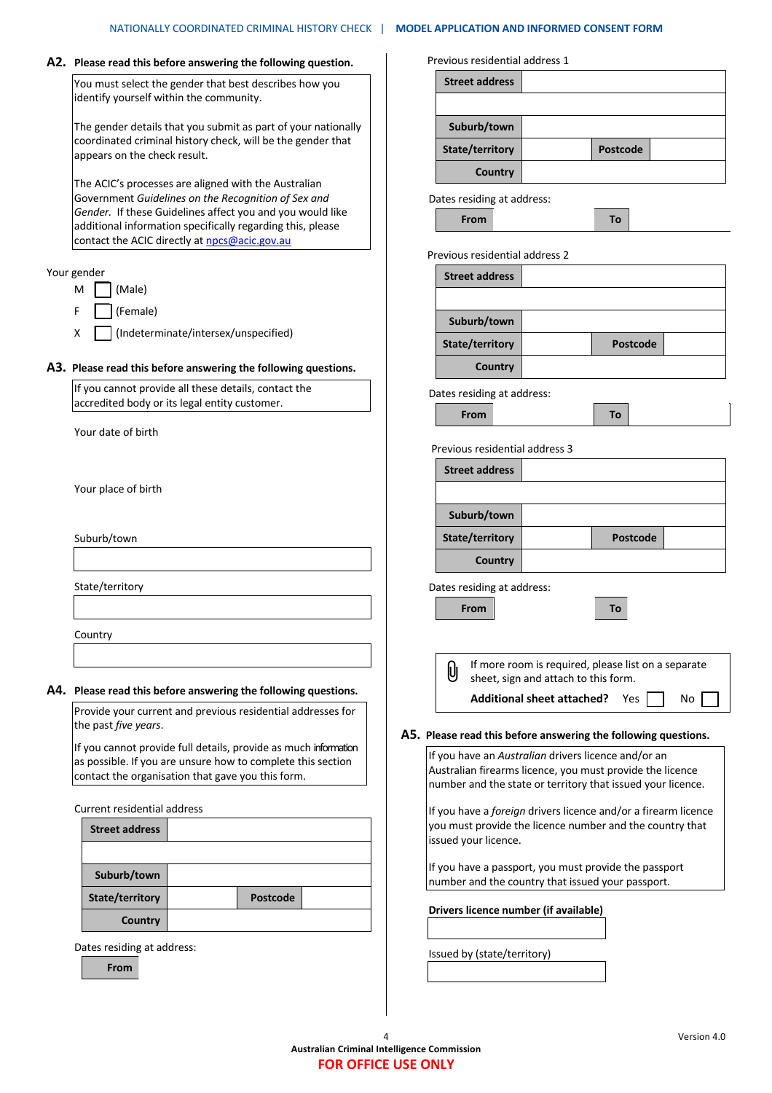| A2. Please read this before answering the following question.                                               | Previous residential address 1                                            |                                                                                                                  |  |  |
|-------------------------------------------------------------------------------------------------------------|---------------------------------------------------------------------------|------------------------------------------------------------------------------------------------------------------|--|--|
| You must select the gender that best describes how you<br>identify yourself within the community.           | <b>Street address</b>                                                     |                                                                                                                  |  |  |
| The gender details that you submit as part of your nationally                                               | Suburb/town                                                               |                                                                                                                  |  |  |
| coordinated criminal history check, will be the gender that<br>appears on the check result.                 | State/territory                                                           | Postcode                                                                                                         |  |  |
|                                                                                                             | Country                                                                   |                                                                                                                  |  |  |
| The ACIC's processes are aligned with the Australian<br>Government Guidelines on the Recognition of Sex and | Dates residing at address:                                                |                                                                                                                  |  |  |
| Gender. If these Guidelines affect you and you would like                                                   | From                                                                      | To                                                                                                               |  |  |
| additional information specifically regarding this, please<br>contact the ACIC directly at npcs@acic.gov.au |                                                                           |                                                                                                                  |  |  |
| Your gender                                                                                                 | Previous residential address 2<br><b>Street address</b>                   |                                                                                                                  |  |  |
| (Male)<br>M                                                                                                 |                                                                           |                                                                                                                  |  |  |
| (Female)<br>F                                                                                               |                                                                           |                                                                                                                  |  |  |
| (Indeterminate/intersex/unspecified)<br>X                                                                   | Suburb/town                                                               |                                                                                                                  |  |  |
|                                                                                                             | State/territory                                                           | <b>Postcode</b>                                                                                                  |  |  |
| A3. Please read this before answering the following questions.                                              | Country                                                                   |                                                                                                                  |  |  |
| If you cannot provide all these details, contact the<br>accredited body or its legal entity customer.       | Dates residing at address:                                                |                                                                                                                  |  |  |
|                                                                                                             | From                                                                      | To                                                                                                               |  |  |
| Your date of birth                                                                                          | Previous residential address 3                                            |                                                                                                                  |  |  |
|                                                                                                             | <b>Street address</b>                                                     |                                                                                                                  |  |  |
| Your place of birth                                                                                         |                                                                           |                                                                                                                  |  |  |
|                                                                                                             | Suburb/town                                                               |                                                                                                                  |  |  |
| Suburb/town                                                                                                 | State/territory                                                           | Postcode                                                                                                         |  |  |
|                                                                                                             | <b>Country</b>                                                            |                                                                                                                  |  |  |
| State/territory                                                                                             | Dates residing at address:                                                |                                                                                                                  |  |  |
|                                                                                                             | From                                                                      | To                                                                                                               |  |  |
|                                                                                                             |                                                                           |                                                                                                                  |  |  |
| Country                                                                                                     |                                                                           |                                                                                                                  |  |  |
|                                                                                                             | Û                                                                         | If more room is required, please list on a separate                                                              |  |  |
| A4. Please read this before answering the following questions.                                              | sheet, sign and attach to this form.<br><b>Additional sheet attached?</b> | No<br>Yes                                                                                                        |  |  |
| Provide your current and previous residential addresses for<br>the past five years.                         |                                                                           |                                                                                                                  |  |  |
| If you cannot provide full details, provide as much information                                             | A5. Please read this before answering the following questions.            |                                                                                                                  |  |  |
| as possible. If you are unsure how to complete this section                                                 |                                                                           | If you have an Australian drivers licence and/or an<br>Australian firearms licence, you must provide the licence |  |  |
| contact the organisation that gave you this form.                                                           |                                                                           | number and the state or territory that issued your licence.                                                      |  |  |
| Current residential address                                                                                 |                                                                           | If you have a foreign drivers licence and/or a firearm licence                                                   |  |  |
| <b>Street address</b>                                                                                       | issued your licence.                                                      | you must provide the licence number and the country that                                                         |  |  |
| Suburb/town                                                                                                 | number and the country that issued your passport.                         | If you have a passport, you must provide the passport                                                            |  |  |
| State/territory<br><b>Postcode</b>                                                                          |                                                                           |                                                                                                                  |  |  |
| Country                                                                                                     | Drivers licence number (if available)                                     |                                                                                                                  |  |  |
| Dates residing at address:                                                                                  |                                                                           |                                                                                                                  |  |  |
| From                                                                                                        | Issued by (state/territory)                                               |                                                                                                                  |  |  |
|                                                                                                             |                                                                           |                                                                                                                  |  |  |
|                                                                                                             |                                                                           |                                                                                                                  |  |  |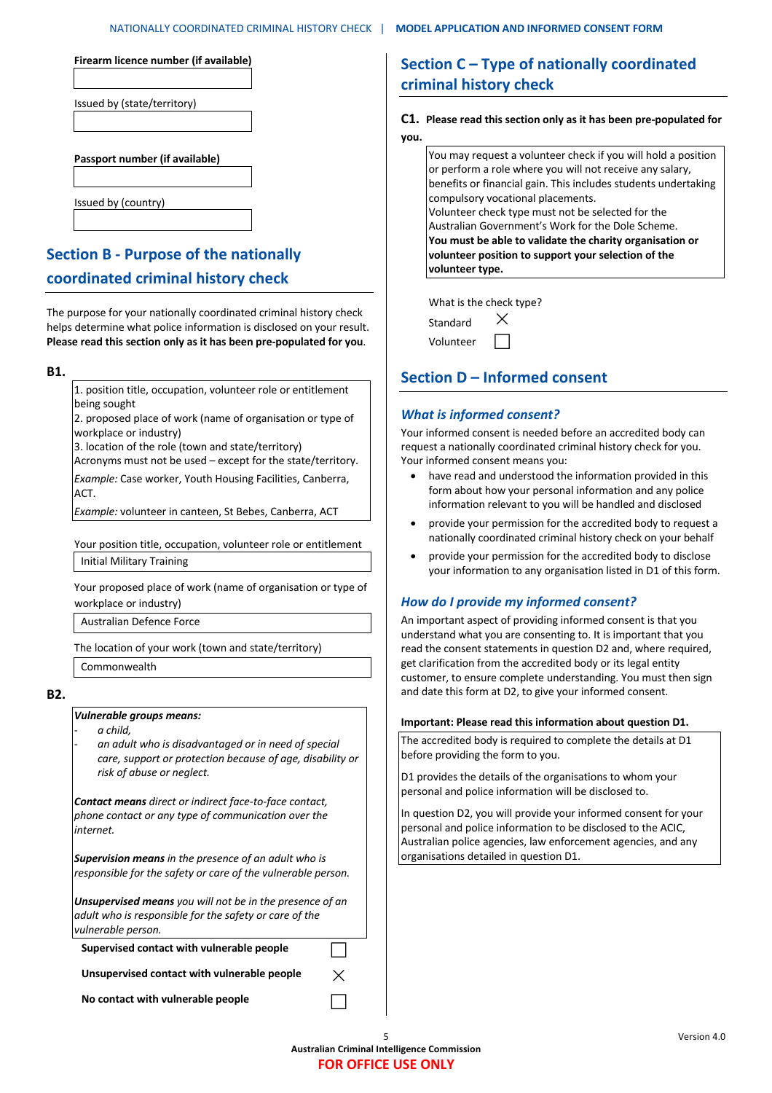| Firearm licence number (if available) |
|---------------------------------------|
|                                       |
| Issued by (state/territory)           |
|                                       |
|                                       |
| Passport number (if available)        |
|                                       |
| Issued by (country)                   |

# **Section B - Purpose of the nationally coordinated criminal history check**

The purpose for your nationally coordinated criminal history check helps determine what police information is disclosed on your result. **Please read this section only as it has been pre-populated for you**.

**B1.**

1. position title, occupation, volunteer role or entitlement being sought

2. proposed place of work (name of organisation or type of workplace or industry)

3. location of the role (town and state/territory)

Acronyms must not be used – except for the state/territory. *Example:* Case worker, Youth Housing Facilities, Canberra,

ACT.

*Example:* volunteer in canteen, St Bebes, Canberra, ACT

Your position title, occupation, volunteer role or entitlement Initial Military Training

Your proposed place of work (name of organisation or type of workplace or industry)

Australian Defence Force

The location of your work (town and state/territory)

Commonwealth

**B2.**

#### *Vulnerable groups means:*

- *a child,*
- *an adult who is disadvantaged or in need of special care, support or protection because of age, disability or risk of abuse or neglect.*

*Contact means direct or indirect face-to-face contact, phone contact or any type of communication over the internet.*

*Supervision means in the presence of an adult who is responsible for the safety or care of the vulnerable person.*

*Unsupervised means you will not be in the presence of an adult who is responsible for the safety or care of the vulnerable person.*

**Supervised contact with vulnerable people** 

Unsupervised contact with vulnerable people  $\rightarrow$ 

**No contact with vulnerable people** 

# **Section C – Type of nationally coordinated criminal history check**

#### **C1. Please read this section only as it has been pre-populated for you.**

You may request a volunteer check if you will hold a position or perform a role where you will not receive any salary, benefits or financial gain. This includes students undertaking compulsory vocational placements. Volunteer check type must not be selected for the Australian Government's Work for the Dole Scheme. **You must be able to validate the charity organisation or volunteer position to support your selection of the volunteer type.**

What is the check type?

| Standard  |  |
|-----------|--|
| Volunteer |  |

# **Section D – Informed consent**

## *What is informed consent?*

Your informed consent is needed before an accredited body can request a nationally coordinated criminal history check for you. Your informed consent means you:

- have read and understood the information provided in this form about how your personal information and any police information relevant to you will be handled and disclosed
- provide your permission for the accredited body to request a nationally coordinated criminal history check on your behalf
- provide your permission for the accredited body to disclose your information to any organisation listed in D1 of this form.

## *How do I provide my informed consent?*

An important aspect of providing informed consent is that you understand what you are consenting to. It is important that you read the consent statements in question D2 and, where required, get clarification from the accredited body or its legal entity customer, to ensure complete understanding. You must then sign and date this form at D2, to give your informed consent.

#### **Important: Please read this information about question D1.**

The accredited body is required to complete the details at D1 before providing the form to you.

D1 provides the details of the organisations to whom your personal and police information will be disclosed to.

In question D2, you will provide your informed consent for your personal and police information to be disclosed to the ACIC, Australian police agencies, law enforcement agencies, and any organisations detailed in question D1.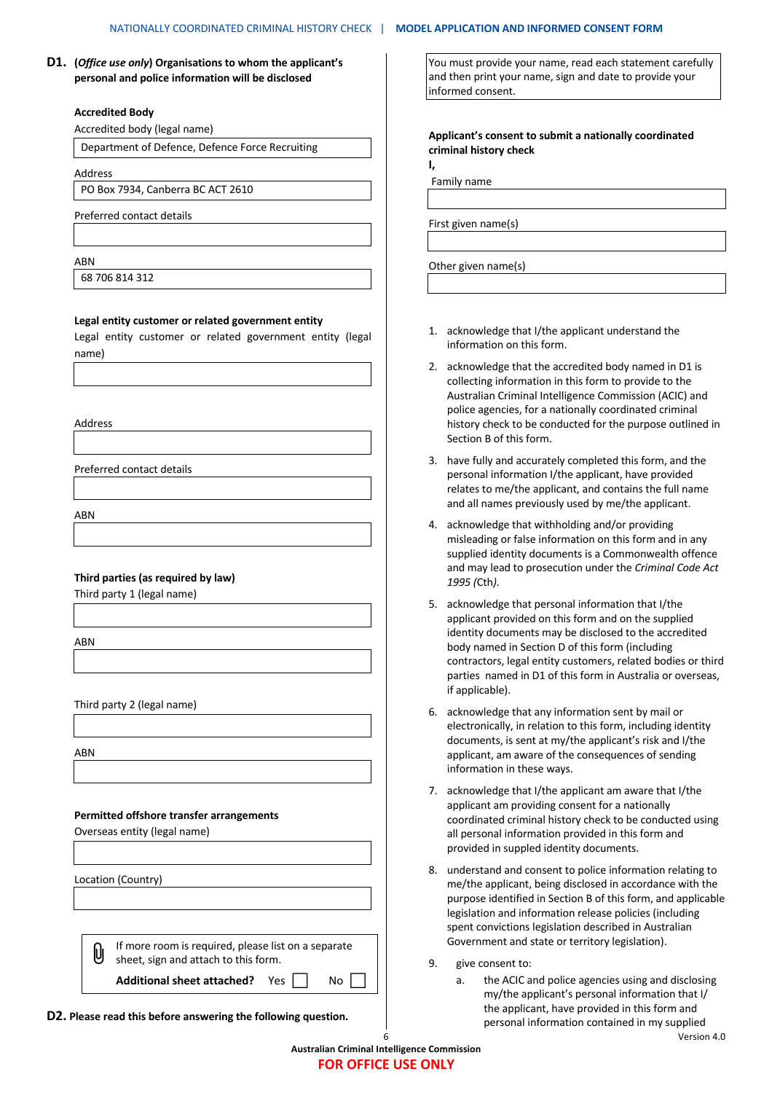**D1. (***Office use only***) Organisations to whom the applicant's personal and police information will be disclosed**

#### **Accredited Body**

Accredited body (legal name)

Department of Defence, Defence Force Recruiting

Address

PO Box 7934, Canberra BC ACT 2610

Preferred contact details

#### ABN

68 706 814 312

#### **Legal entity customer or related government entity**

Legal entity customer or related government entity (legal name)

Address

Preferred contact details

ABN

#### **Third parties (as required by law)**

Third party 1 (legal name)

**ARN** 

Third party 2 (legal name)

ABN

#### **Permitted offshore transfer arrangements**

Overseas entity (legal name)

Location (Country)

| $\bigcup$ If more room is required, please list on a separate sheet, sign and attach to this form. |
|----------------------------------------------------------------------------------------------------|

**Additional sheet attached?** Yes  $\begin{bmatrix} \end{bmatrix}$  No  $\begin{bmatrix} \end{bmatrix}$ 

**D2. Please read this before answering the following question.**

You must provide your name, read each statement carefully and then print your name, sign and date to provide your informed consent.

**Applicant's consent to submit a nationally coordinated criminal history check I,** 

Family name

First given name(s)

Other given name(s)

- 1. acknowledge that I/the applicant understand the information on this form.
- 2. acknowledge that the accredited body named in D1 is collecting information in this form to provide to the Australian Criminal Intelligence Commission (ACIC) and police agencies, for a nationally coordinated criminal history check to be conducted for the purpose outlined in Section B of this form.
- 3. have fully and accurately completed this form, and the personal information I/the applicant, have provided relates to me/the applicant, and contains the full name and all names previously used by me/the applicant.
- 4. acknowledge that withholding and/or providing misleading or false information on this form and in any supplied identity documents is a Commonwealth offence and may lead to prosecution under the *Criminal Code Act 1995 (*Cth*).*
- 5. acknowledge that personal information that I/the applicant provided on this form and on the supplied identity documents may be disclosed to the accredited body named in Section D of this form (including contractors, legal entity customers, related bodies or third parties named in D1 of this form in Australia or overseas, if applicable).
- 6. acknowledge that any information sent by mail or electronically, in relation to this form, including identity documents, is sent at my/the applicant's risk and I/the applicant, am aware of the consequences of sending information in these ways.
- 7. acknowledge that I/the applicant am aware that I/the applicant am providing consent for a nationally coordinated criminal history check to be conducted using all personal information provided in this form and provided in suppled identity documents.
- 8. understand and consent to police information relating to me/the applicant, being disclosed in accordance with the purpose identified in Section B of this form, and applicable legislation and information release policies (including spent convictions legislation described in Australian Government and state or territory legislation).
- 9. give consent to:
- 6 Version 4.0 a. the ACIC and police agencies using and disclosing my/the applicant's personal information that I/ the applicant, have provided in this form and personal information contained in my supplied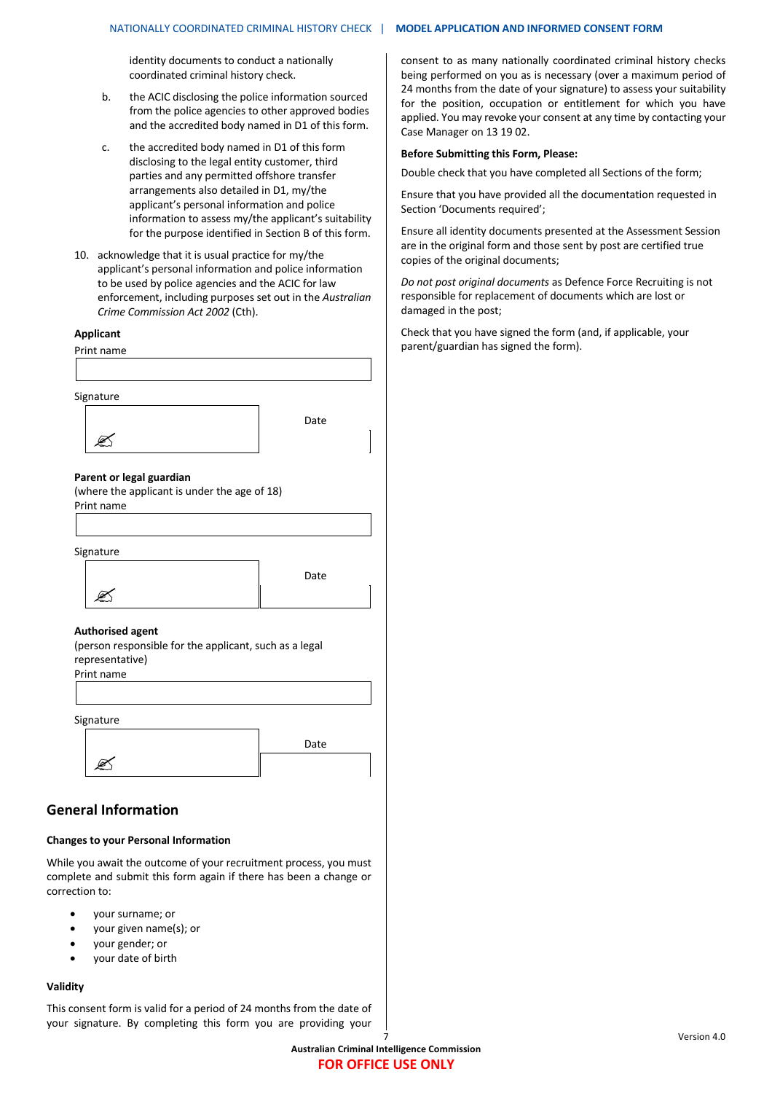identity documents to conduct a nationally coordinated criminal history check.

- b. the ACIC disclosing the police information sourced from the police agencies to other approved bodies and the accredited body named in D1 of this form.
- c. the accredited body named in D1 of this form disclosing to the legal entity customer, third parties and any permitted offshore transfer arrangements also detailed in D1, my/the applicant's personal information and police information to assess my/the applicant's suitability for the purpose identified in Section B of this form.
- 10. acknowledge that it is usual practice for my/the applicant's personal information and police information to be used by police agencies and the ACIC for law enforcement, including purposes set out in the *Australian Crime Commission Act 2002* (Cth).

#### **Applicant**

Print name

| Signature                                                  |      |
|------------------------------------------------------------|------|
|                                                            | Date |
|                                                            |      |
|                                                            |      |
| Parent or legal guardian                                   |      |
| (where the applicant is under the age of 18)<br>Print name |      |
|                                                            |      |
|                                                            |      |
| Signature                                                  |      |
|                                                            | Date |
|                                                            |      |
|                                                            |      |
| <b>Authorised agent</b>                                    |      |
| (person responsible for the applicant, such as a legal     |      |
| representative)<br>Print name                              |      |
|                                                            |      |
|                                                            |      |
| Signature                                                  |      |
|                                                            | Date |
|                                                            |      |
|                                                            |      |
|                                                            |      |

#### **Changes to your Personal Information**

While you await the outcome of your recruitment process, you must complete and submit this form again if there has been a change or correction to:

- your surname; or
- your given name(s); or
- your gender; or
- your date of birth

#### **Validity**

This consent form is valid for a period of 24 months from the date of your signature. By completing this form you are providing your consent to as many nationally coordinated criminal history checks being performed on you as is necessary (over a maximum period of 24 months from the date of your signature) to assess your suitability for the position, occupation or entitlement for which you have applied. You may revoke your consent at any time by contacting your Case Manager on 13 19 02.

#### **Before Submitting this Form, Please:**

Double check that you have completed all Sections of the form;

Ensure that you have provided all the documentation requested in Section 'Documents required';

Ensure all identity documents presented at the Assessment Session are in the original form and those sent by post are certified true copies of the original documents;

*Do not post original documents* as Defence Force Recruiting is not responsible for replacement of documents which are lost or damaged in the post;

Check that you have signed the form (and, if applicable, your parent/guardian has signed the form).